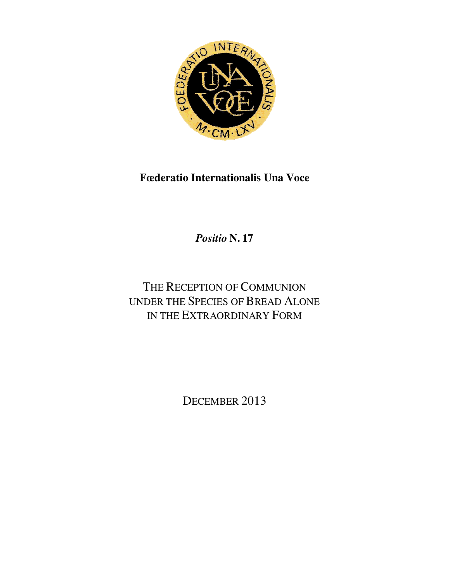

**Fœderatio Internationalis Una Voce**

*Positio* **N. 17** 

# THE RECEPTION OF COMMUNION UNDER THE SPECIES OF BREAD ALONE IN THE EXTRAORDINARY FORM

DECEMBER 2013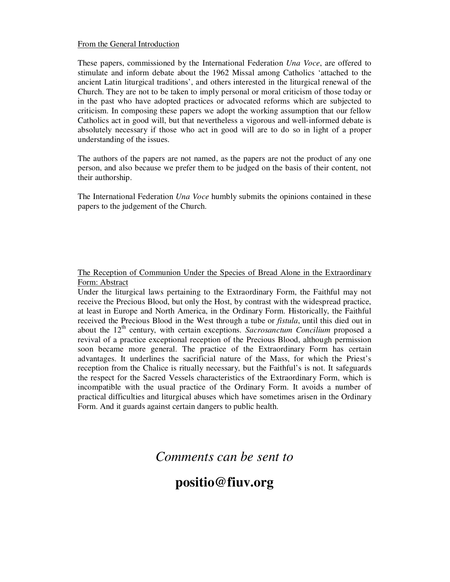#### From the General Introduction

These papers, commissioned by the International Federation *Una Voce*, are offered to stimulate and inform debate about the 1962 Missal among Catholics 'attached to the ancient Latin liturgical traditions', and others interested in the liturgical renewal of the Church. They are not to be taken to imply personal or moral criticism of those today or in the past who have adopted practices or advocated reforms which are subjected to criticism. In composing these papers we adopt the working assumption that our fellow Catholics act in good will, but that nevertheless a vigorous and well-informed debate is absolutely necessary if those who act in good will are to do so in light of a proper understanding of the issues.

The authors of the papers are not named, as the papers are not the product of any one person, and also because we prefer them to be judged on the basis of their content, not their authorship.

The International Federation *Una Voce* humbly submits the opinions contained in these papers to the judgement of the Church.

The Reception of Communion Under the Species of Bread Alone in the Extraordinary Form: Abstract

Under the liturgical laws pertaining to the Extraordinary Form, the Faithful may not receive the Precious Blood, but only the Host, by contrast with the widespread practice, at least in Europe and North America, in the Ordinary Form. Historically, the Faithful received the Precious Blood in the West through a tube or *fistula*, until this died out in about the 12<sup>th</sup> century, with certain exceptions. *Sacrosanctum Concilium* proposed a revival of a practice exceptional reception of the Precious Blood, although permission soon became more general. The practice of the Extraordinary Form has certain advantages. It underlines the sacrificial nature of the Mass, for which the Priest's reception from the Chalice is ritually necessary, but the Faithful's is not. It safeguards the respect for the Sacred Vessels characteristics of the Extraordinary Form, which is incompatible with the usual practice of the Ordinary Form. It avoids a number of practical difficulties and liturgical abuses which have sometimes arisen in the Ordinary Form. And it guards against certain dangers to public health.

### *Comments can be sent to*

## **positio@fiuv.org**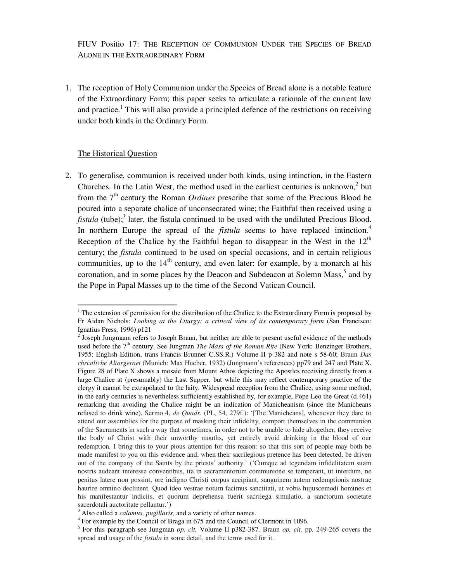FIUV Positio 17: THE RECEPTION OF COMMUNION UNDER THE SPECIES OF BREAD ALONE IN THE EXTRAORDINARY FORM

1. The reception of Holy Communion under the Species of Bread alone is a notable feature of the Extraordinary Form; this paper seeks to articulate a rationale of the current law and practice.<sup>1</sup> This will also provide a principled defence of the restrictions on receiving under both kinds in the Ordinary Form.

#### The Historical Question

 $\overline{a}$ 

2. To generalise, communion is received under both kinds, using intinction, in the Eastern Churches. In the Latin West, the method used in the earliest centuries is unknown, $2$  but from the  $7<sup>th</sup>$  century the Roman *Ordines* prescribe that some of the Precious Blood be poured into a separate chalice of unconsecrated wine; the Faithful then received using a *fistula* (tube);<sup>3</sup> later, the fistula continued to be used with the undiluted Precious Blood. In northern Europe the spread of the *fistula* seems to have replaced intinction.<sup>4</sup> Reception of the Chalice by the Faithful began to disappear in the West in the  $12<sup>th</sup>$ century; the *fistula* continued to be used on special occasions, and in certain religious communities, up to the  $14<sup>th</sup>$  century, and even later: for example, by a monarch at his coronation, and in some places by the Deacon and Subdeacon at Solemn Mass,<sup>5</sup> and by the Pope in Papal Masses up to the time of the Second Vatican Council.

 $1$ <sup>1</sup> The extension of permission for the distribution of the Chalice to the Extraordinary Form is proposed by Fr Aidan Nichols: *Looking at the Liturgy: a critical view of its contemporary form* (San Francisco: Ignatius Press, 1996) p121

 $2^{2}$  Joseph Jungmann refers to Joseph Braun, but neither are able to present useful evidence of the methods used before the 7<sup>th</sup> century. See Jungman *The Mass of the Roman Rite* (New York: Benzinger Brothers, 1955: English Edition, trans Francis Brunner C.SS.R.) Volume II p 382 and note s 58-60; Braun *Das christliche Altargeraet* (Munich: Max Hueber, 1932) (Jungmann's references) pp79 and 247 and Plate X. Figure 28 of Plate X shows a mosaic from Mount Athos depicting the Apostles receiving directly from a large Chalice at (presumably) the Last Supper, but while this may reflect contemporary practice of the clergy it cannot be extrapolated to the laity. Widespread reception from the Chalice, using some method, in the early centuries is nevertheless sufficiently established by, for example, Pope Leo the Great (d.461) remarking that avoiding the Chalice might be an indication of Manicheanism (since the Manicheans refused to drink wine). Sermo 4, *de Quadr*. (PL, 54, 279f.): '[The Manicheans], whenever they dare to attend our assemblies for the purpose of masking their infidelity, comport themselves in the communion of the Sacraments in such a way that sometimes, in order not to be unable to hide altogether, they receive the body of Christ with their unworthy mouths, yet entirely avoid drinking in the blood of our redemption. I bring this to your pious attention for this reason: so that this sort of people may both be made manifest to you on this evidence and, when their sacrilegious pretence has been detected, be driven out of the company of the Saints by the priests' authority.' ('Cumque ad tegendam infidelitatem suam nostris audeant interesse conventibus, ita in sacramentorum communione se temperant, ut interdum, ne penitus latere non possint, ore indigno Christi corpus accipiant, sanguinem autem redemptionis nostrae haurire omnino declinent. Quod ideo vestrae notum facimus sanctitati, ut vobis hujuscemodi homines et his manifestantur indiciis, et quorum deprehensa fuerit sacrilega simulatio, a sanctorum societate sacerdotali auctoritate pellantur.')

<sup>3</sup> Also called a *calamus, pugillaris,* and a variety of other names.

<sup>&</sup>lt;sup>4</sup> For example by the Council of Braga in 675 and the Council of Clermont in 1096.

<sup>5</sup> For this paragraph see Jungman *op. cit.* Volume II p382-387. Braun *op. cit.* pp. 249-265 covers the spread and usage of the *fistula* in some detail, and the terms used for it.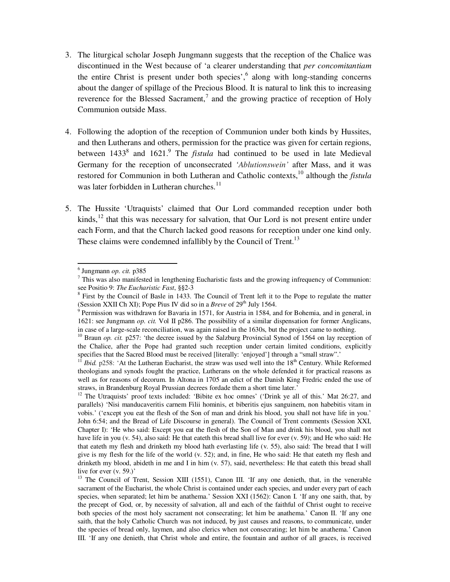- 3. The liturgical scholar Joseph Jungmann suggests that the reception of the Chalice was discontinued in the West because of 'a clearer understanding that *per concomitantiam* the entire Christ is present under both species',<sup>6</sup> along with long-standing concerns about the danger of spillage of the Precious Blood. It is natural to link this to increasing reverence for the Blessed Sacrament,<sup>7</sup> and the growing practice of reception of Holy Communion outside Mass.
- 4. Following the adoption of the reception of Communion under both kinds by Hussites, and then Lutherans and others, permission for the practice was given for certain regions, between 1433<sup>8</sup> and 1621.<sup>9</sup> The *fistula* had continued to be used in late Medieval Germany for the reception of unconsecrated *'Ablutionswein'* after Mass, and it was restored for Communion in both Lutheran and Catholic contexts,<sup>10</sup> although the *fistula* was later forbidden in Lutheran churches.<sup>11</sup>
- 5. The Hussite 'Utraquists' claimed that Our Lord commanded reception under both kinds, $^{12}$  that this was necessary for salvation, that Our Lord is not present entire under each Form, and that the Church lacked good reasons for reception under one kind only. These claims were condemned infallibly by the Council of Trent.<sup>13</sup>

<sup>6</sup> Jungmann *op. cit.* p385

 $<sup>7</sup>$  This was also manifested in lengthening Eucharistic fasts and the growing infrequency of Communion:</sup> see Positio 9: *The Eucharistic Fast*, §§2-3

<sup>&</sup>lt;sup>8</sup> First by the Council of Basle in 1433. The Council of Trent left it to the Pope to regulate the matter (Session XXII Ch XI); Pope Pius IV did so in a *Breve* of  $29<sup>th</sup>$  July 1564.

<sup>&</sup>lt;sup>9</sup> Permission was withdrawn for Bavaria in 1571, for Austria in 1584, and for Bohemia, and in general, in 1621: see Jungmann *op. cit.* Vol II p286. The possibility of a similar dispensation for former Anglicans, in case of a large-scale reconciliation, was again raised in the 1630s, but the project came to nothing.

<sup>&</sup>lt;sup>10</sup> Braun *op. cit.* p257: 'the decree issued by the Salzburg Provincial Synod of 1564 on lay reception of the Chalice, after the Pope had granted such reception under certain limited conditions, explicitly specifies that the Sacred Blood must be received [literally: 'enjoyed'] through a "small straw".'

*Ibid.* p258: 'At the Lutheran Eucharist, the straw was used well into the 18<sup>th</sup> Century. While Reformed theologians and synods fought the practice, Lutherans on the whole defended it for practical reasons as well as for reasons of decorum. In Altona in 1705 an edict of the Danish King Fredric ended the use of straws, in Brandenburg Royal Prussian decrees fordade them a short time later.'

<sup>&</sup>lt;sup>12</sup> The Utraquists' proof texts included: 'Bibite ex hoc omnes' ('Drink ye all of this.' Mat 26:27, and parallels) 'Nisi manducaveritis carnem Filii hominis, et biberitis ejus sanguinem, non habebitis vitam in vobis.' ('except you eat the flesh of the Son of man and drink his blood, you shall not have life in you.' John 6:54; and the Bread of Life Discourse in general). The Council of Trent comments (Session XXI, Chapter I): 'He who said: Except you eat the flesh of the Son of Man and drink his blood, you shall not have life in you (v. 54), also said: He that eateth this bread shall live for ever (v. 59); and He who said: He that eateth my flesh and drinketh my blood hath everlasting life (v. 55), also said: The bread that I will give is my flesh for the life of the world (v. 52); and, in fine, He who said: He that eateth my flesh and drinketh my blood, abideth in me and I in him (v. 57), said, nevertheless: He that eateth this bread shall live for ever (v. 59.)'

<sup>&</sup>lt;sup>13</sup> The Council of Trent, Session XIII (1551), Canon III. 'If any one denieth, that, in the venerable sacrament of the Eucharist, the whole Christ is contained under each species, and under every part of each species, when separated; let him be anathema.' Session XXI (1562): Canon I. 'If any one saith, that, by the precept of God, or, by necessity of salvation, all and each of the faithful of Christ ought to receive both species of the most holy sacrament not consecrating; let him be anathema.' Canon II. 'If any one saith, that the holy Catholic Church was not induced, by just causes and reasons, to communicate, under the species of bread only, laymen, and also clerics when not consecrating; let him be anathema.' Canon III. 'If any one denieth, that Christ whole and entire, the fountain and author of all graces, is received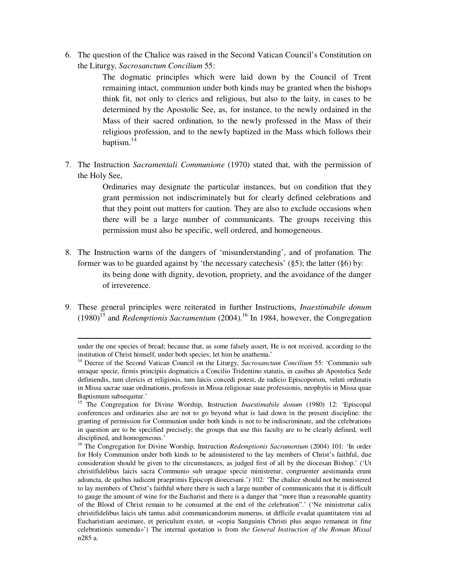6. The question of the Chalice was raised in the Second Vatican Council's Constitution on the Liturgy, *Sacrosanctum Concilium* 55:

> The dogmatic principles which were laid down by the Council of Trent remaining intact, communion under both kinds may be granted when the bishops think fit, not only to clerics and religious, but also to the laity, in cases to be determined by the Apostolic See, as, for instance, to the newly ordained in the Mass of their sacred ordination, to the newly professed in the Mass of their religious profession, and to the newly baptized in the Mass which follows their baptism.<sup>14</sup>

7. The Instruction *Sacramentali Communione* (1970) stated that, with the permission of the Holy See,

> Ordinaries may designate the particular instances, but on condition that they grant permission not indiscriminately but for clearly defined celebrations and that they point out matters for caution. They are also to exclude occasions when there will be a large number of communicants. The groups receiving this permission must also be specific, well ordered, and homogeneous.

- 8. The Instruction warns of the dangers of 'misunderstanding', and of profanation. The former was to be guarded against by 'the necessary catechesis' (§5); the latter (§6) by: its being done with dignity, devotion, propriety, and the avoidance of the danger of irreverence.
- 9. These general principles were reiterated in further Instructions, *Inaestimabile donum*  (1980)<sup>15</sup> and *Redemptionis Sacramentum* (2004).<sup>16</sup> In 1984, however, the Congregation

under the one species of bread; because that, as some falsely assert, He is not received, according to the institution of Christ himself, under both species; let him be anathema.'

<sup>14</sup> Decree of the Second Vatican Council on the Liturgy, *Sacrosanctum Concilium* 55: 'Communio sub utraque specie, firmis principiis dogmaticis a Concilio Tridentino statutis, in casibus ab Apostolica Sede definiendis, tum clericis et religiosis, tum laicis concedi potest, de iudicio Episcoporum, veluti ordinatis in Missa sacrae suae ordinationis, professis in Missa religiosae suae professionis, neophytis in Missa quae Baptismum subsequitur.'

<sup>&</sup>lt;sup>15</sup> The Congregation for Divine Worship, Instruction *Inaestimabile donum* (1980) 12: 'Episcopal conferences and ordinaries also are not to go beyond what is laid down in the present discipline: the granting of permission for Communion under both kinds is not to be indiscriminate, and the celebrations in question are to be specified precisely; the groups that use this faculty are to be clearly defined, well disciplined, and homogeneous.'

<sup>&</sup>lt;sup>16</sup> The Congregation for Divine Worship, Instruction *Redemptionis Sacramentum* (2004) 101: 'In order for Holy Communion under both kinds to be administered to the lay members of Christ's faithful, due consideration should be given to the circumstances, as judged first of all by the diocesan Bishop.' ('Ut christifidelibus laicis sacra Communio sub utraque specie ministretur, congruenter aestimanda erunt adiuncta, de quibus iudicent praeprimis Episcopi dioecesani.') 102: 'The chalice should not be ministered to lay members of Christ's faithful where there is such a large number of communicants that it is difficult to gauge the amount of wine for the Eucharist and there is a danger that "more than a reasonable quantity of the Blood of Christ remain to be consumed at the end of the celebration".' ('Ne ministretur calix christifidelibus laicis ubi tantus adsit communicandorum numerus, ut difficile evadat quantitatem vini ad Eucharistiam aestimare, et periculum exstet, ut «copia Sanguinis Christi plus aequo remaneat in fine celebrationis sumenda»') The internal quotation is from *the General Instruction of the Roman Missal* n285 a.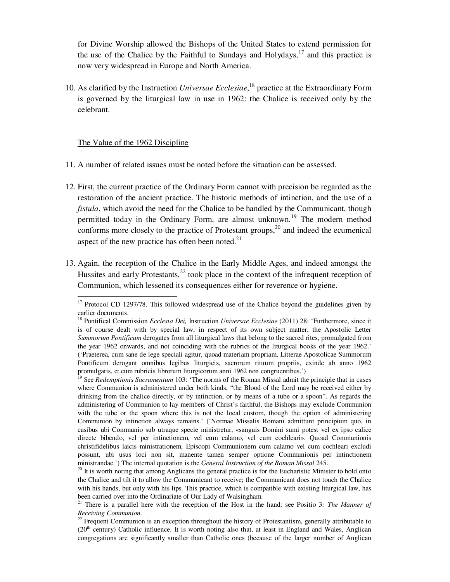for Divine Worship allowed the Bishops of the United States to extend permission for the use of the Chalice by the Faithful to Sundays and Holydays,  $17$  and this practice is now very widespread in Europe and North America.

10. As clarified by the Instruction *Universae Ecclesiae*, <sup>18</sup> practice at the Extraordinary Form is governed by the liturgical law in use in 1962: the Chalice is received only by the celebrant.

#### The Value of the 1962 Discipline

- 11. A number of related issues must be noted before the situation can be assessed.
- 12. First, the current practice of the Ordinary Form cannot with precision be regarded as the restoration of the ancient practice. The historic methods of intinction, and the use of a *fistula*, which avoid the need for the Chalice to be handled by the Communicant, though permitted today in the Ordinary Form, are almost unknown.<sup>19</sup> The modern method conforms more closely to the practice of Protestant groups, $^{20}$  and indeed the ecumenical aspect of the new practice has often been noted. $21$
- 13. Again, the reception of the Chalice in the Early Middle Ages, and indeed amongst the Hussites and early Protestants, $^{22}$  took place in the context of the infrequent reception of Communion, which lessened its consequences either for reverence or hygiene.

<sup>&</sup>lt;sup>17</sup> Protocol CD 1297/78. This followed widespread use of the Chalice beyond the guidelines given by earlier documents.

<sup>&</sup>lt;sup>18</sup> Pontifical Commission *Ecclesia Dei*, Instruction *Universae Ecclesiae* (2011) 28: 'Furthermore, since it is of course dealt with by special law, in respect of its own subject matter, the Apostolic Letter *Summorum Pontificum* derogates from all liturgical laws that belong to the sacred rites, promulgated from the year 1962 onwards, and not coinciding with the rubrics of the liturgical books of the year 1962.' ('Praeterea, cum sane de lege speciali agitur, quoad materiam propriam, Litterae Apostolicae Summorum Pontificum derogant omnibus legibus liturgicis, sacrorum rituum propriis, exinde ab anno 1962 promulgatis, et cum rubricis librorum liturgicorum anni 1962 non congruentibus.')

<sup>&</sup>lt;sup>19</sup> See *Redemptionis Sacramentum* 103: 'The norms of the Roman Missal admit the principle that in cases where Communion is administered under both kinds, "the Blood of the Lord may be received either by drinking from the chalice directly, or by intinction, or by means of a tube or a spoon". As regards the administering of Communion to lay members of Christ's faithful, the Bishops may exclude Communion with the tube or the spoon where this is not the local custom, though the option of administering Communion by intinction always remains.' ('Normae Missalis Romani admittunt principium quo, in casibus ubi Communio sub utraque specie ministretur, «sanguis Domini sumi potest vel ex ipso calice directe bibendo, vel per intinctionem, vel cum calamo, vel cum cochleari». Quoad Communionis christifidelibus laicis ministrationem, Episcopi Communionem cum calamo vel cum cochleari excludi possunt, ubi usus loci non sit, manente tamen semper optione Communionis per intinctionem ministrandae.') The internal quotation is the *General Instruction of the Roman Missal* 245.

 $20$  It is worth noting that among Anglicans the general practice is for the Eucharistic Minister to hold onto the Chalice and tilt it to allow the Communicant to receive; the Communicant does not touch the Chalice with his hands, but only with his lips. This practice, which is compatible with existing liturgical law, has been carried over into the Ordinariate of Our Lady of Walsingham.

<sup>21</sup> There is a parallel here with the reception of the Host in the hand: see Positio 3*: The Manner of Receiving Communion.* 

 $22$  Frequent Communion is an exception throughout the history of Protestantism, generally attributable to  $(20<sup>th</sup>$  century) Catholic influence. It is worth noting also that, at least in England and Wales, Anglican congregations are significantly smaller than Catholic ones (because of the larger number of Anglican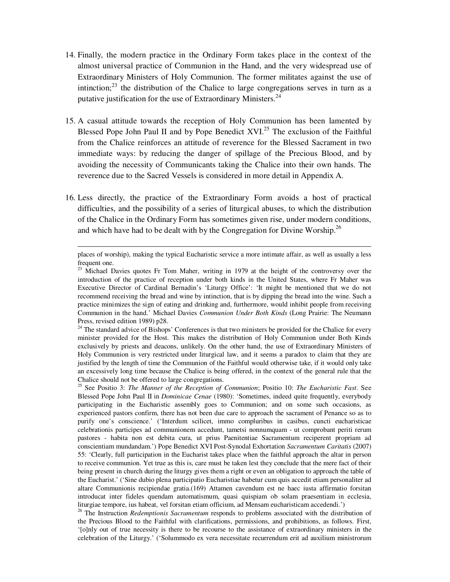- 14. Finally, the modern practice in the Ordinary Form takes place in the context of the almost universal practice of Communion in the Hand, and the very widespread use of Extraordinary Ministers of Holy Communion. The former militates against the use of intinction; $2<sup>3</sup>$  the distribution of the Chalice to large congregations serves in turn as a putative justification for the use of Extraordinary Ministers.<sup>24</sup>
- 15. A casual attitude towards the reception of Holy Communion has been lamented by Blessed Pope John Paul II and by Pope Benedict  $XVI<sup>25</sup>$  The exclusion of the Faithful from the Chalice reinforces an attitude of reverence for the Blessed Sacrament in two immediate ways: by reducing the danger of spillage of the Precious Blood, and by avoiding the necessity of Communicants taking the Chalice into their own hands. The reverence due to the Sacred Vessels is considered in more detail in Appendix A.
- 16. Less directly, the practice of the Extraordinary Form avoids a host of practical difficulties, and the possibility of a series of liturgical abuses, to which the distribution of the Chalice in the Ordinary Form has sometimes given rise, under modern conditions, and which have had to be dealt with by the Congregation for Divine Worship.<sup>26</sup>

places of worship), making the typical Eucharistic service a more intimate affair, as well as usually a less frequent one.

 $23$  Michael Davies quotes Fr Tom Maher, writing in 1979 at the height of the controversy over the introduction of the practice of reception under both kinds in the United States, where Fr Maher was Executive Director of Cardinal Bernadin's 'Liturgy Office': 'It might be mentioned that we do not recommend receiving the bread and wine by intinction, that is by dipping the bread into the wine. Such a practice minimizes the sign of eating and drinking and, furthermore, would inhibit people from receiving Communion in the hand.' Michael Davies *Communion Under Both Kinds* (Long Prairie: The Neumann Press, revised edition 1989) p28.

<sup>&</sup>lt;sup>24</sup> The standard advice of Bishops' Conferences is that two ministers be provided for the Chalice for every minister provided for the Host. This makes the distribution of Holy Communion under Both Kinds exclusively by priests and deacons, unlikely. On the other hand, the use of Extraordinary Ministers of Holy Communion is very restricted under liturgical law, and it seems a paradox to claim that they are justified by the length of time the Communion of the Faithful would otherwise take, if it would only take an excessively long time because the Chalice is being offered, in the context of the general rule that the Chalice should not be offered to large congregations.

<sup>25</sup> See Positio 3: *The Manner of the Reception of Communion*; Positio 10: *The Eucharistic Fast*. See Blessed Pope John Paul II in *Dominicae Cenae* (1980): 'Sometimes, indeed quite frequently, everybody participating in the Eucharistic assembly goes to Communion; and on some such occasions, as experienced pastors confirm, there has not been due care to approach the sacrament of Penance so as to purify one's conscience.' ('Interdum scilicet, immo compluribus in casibus, cuncti eucharisticae celebrationis participes ad communionem accedunt, tametsi nonnumquam - ut comprobant periti rerum pastores - habita non est debita cura, ut prius Paenitentiae Sacramentum reciperent propriam ad conscientiam mundandam.') Pope Benedict XVI Post-Synodal Exhortation *Sacramentum Caritatis* (2007) 55: 'Clearly, full participation in the Eucharist takes place when the faithful approach the altar in person to receive communion. Yet true as this is, care must be taken lest they conclude that the mere fact of their being present in church during the liturgy gives them a right or even an obligation to approach the table of the Eucharist.' ('Sine dubio plena participatio Eucharistiae habetur cum quis accedit etiam personaliter ad altare Communionis recipiendae gratia.(169) Attamen cavendum est ne haec iusta affirmatio forsitan introducat inter fideles quendam automatismum, quasi quispiam ob solam praesentiam in ecclesia, liturgiae tempore, ius habeat, vel forsitan etiam officium, ad Mensam eucharisticam accedendi.')

<sup>26</sup> The Instruction *Redemptionis Sacramentum* responds to problems associated with the distribution of the Precious Blood to the Faithful with clarifications, permissions, and prohibitions, as follows. First, '[o]nly out of true necessity is there to be recourse to the assistance of extraordinary ministers in the celebration of the Liturgy.' ('Solummodo ex vera necessitate recurrendum erit ad auxilium ministrorum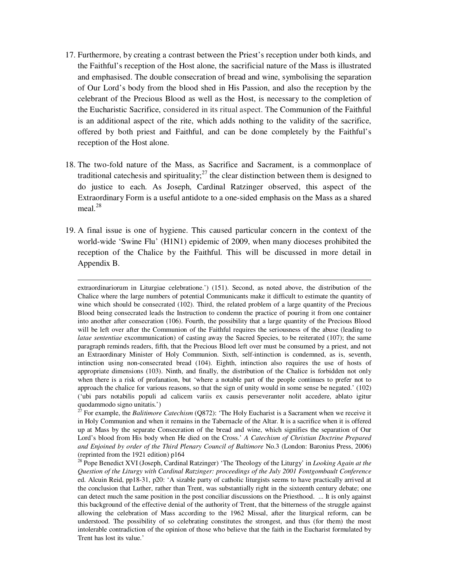- 17. Furthermore, by creating a contrast between the Priest's reception under both kinds, and the Faithful's reception of the Host alone, the sacrificial nature of the Mass is illustrated and emphasised. The double consecration of bread and wine, symbolising the separation of Our Lord's body from the blood shed in His Passion, and also the reception by the celebrant of the Precious Blood as well as the Host, is necessary to the completion of the Eucharistic Sacrifice, considered in its ritual aspect. The Communion of the Faithful is an additional aspect of the rite, which adds nothing to the validity of the sacrifice, offered by both priest and Faithful, and can be done completely by the Faithful's reception of the Host alone.
- 18. The two-fold nature of the Mass, as Sacrifice and Sacrament, is a commonplace of traditional cate chesis and spirituality;<sup>27</sup> the clear distinction between them is designed to do justice to each. As Joseph, Cardinal Ratzinger observed, this aspect of the Extraordinary Form is a useful antidote to a one-sided emphasis on the Mass as a shared meal $^{28}$
- 19. A final issue is one of hygiene. This caused particular concern in the context of the world-wide 'Swine Flu' (H1N1) epidemic of 2009, when many dioceses prohibited the reception of the Chalice by the Faithful. This will be discussed in more detail in Appendix B.

extraordinariorum in Liturgiae celebratione.') (151). Second, as noted above, the distribution of the Chalice where the large numbers of potential Communicants make it difficult to estimate the quantity of wine which should be consecrated (102). Third, the related problem of a large quantity of the Precious Blood being consecrated leads the Instruction to condemn the practice of pouring it from one container into another after consecration (106). Fourth, the possibility that a large quantity of the Precious Blood will be left over after the Communion of the Faithful requires the seriousness of the abuse (leading to *latae sententiae* excommunication) of casting away the Sacred Species, to be reiterated (107); the same paragraph reminds readers, fifth, that the Precious Blood left over must be consumed by a priest, and not an Extraordinary Minister of Holy Communion. Sixth, self-intinction is condemned, as is, seventh, intinction using non-consecrated bread (104). Eighth, intinction also requires the use of hosts of appropriate dimensions (103). Ninth, and finally, the distribution of the Chalice is forbidden not only when there is a risk of profanation, but 'where a notable part of the people continues to prefer not to approach the chalice for various reasons, so that the sign of unity would in some sense be negated.' (102) ('ubi pars notabilis populi ad calicem variis ex causis perseveranter nolit accedere, ablato igitur quodammodo signo unitatis.')

<sup>27</sup> For example, the *Balitimore Catechism* (Q872): 'The Holy Eucharist is a Sacrament when we receive it in Holy Communion and when it remains in the Tabernacle of the Altar. It is a sacrifice when it is offered up at Mass by the separate Consecration of the bread and wine, which signifies the separation of Our Lord's blood from His body when He died on the Cross.' *A Catechism of Christian Doctrine Prepared and Enjoined by order of the Third Plenary Council of Baltimore* No.3 (London: Baronius Press, 2006) (reprinted from the 1921 edition) p164

<sup>28</sup> Pope Benedict XVI (Joseph, Cardinal Ratzinger) 'The Theology of the Liturgy' in *Looking Again at the Question of the Liturgy with Cardinal Ratzinger: proceedings of the July 2001 Fontgombault Conference* ed. Alcuin Reid, pp18-31, p20: 'A sizable party of catholic liturgists seems to have practically arrived at the conclusion that Luther, rather than Trent, was substantially right in the sixteenth century debate; one can detect much the same position in the post conciliar discussions on the Priesthood. ... It is only against this background of the effective denial of the authority of Trent, that the bitterness of the struggle against allowing the celebration of Mass according to the 1962 Missal, after the liturgical reform, can be understood. The possibility of so celebrating constitutes the strongest, and thus (for them) the most intolerable contradiction of the opinion of those who believe that the faith in the Eucharist formulated by Trent has lost its value.'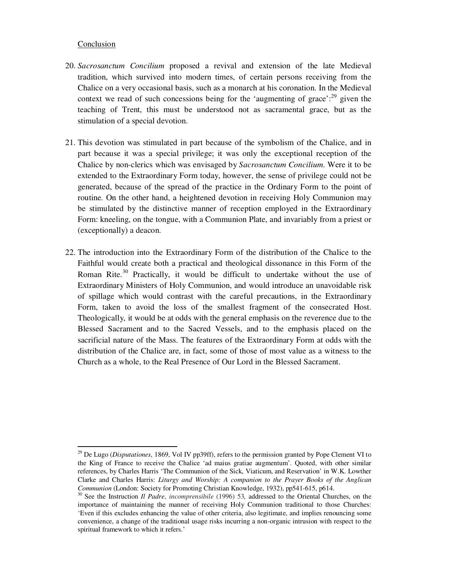#### Conclusion

- 20. *Sacrosanctum Concilium* proposed a revival and extension of the late Medieval tradition, which survived into modern times, of certain persons receiving from the Chalice on a very occasional basis, such as a monarch at his coronation. In the Medieval context we read of such concessions being for the 'augmenting of grace':  $29$  given the teaching of Trent, this must be understood not as sacramental grace, but as the stimulation of a special devotion.
- 21. This devotion was stimulated in part because of the symbolism of the Chalice, and in part because it was a special privilege; it was only the exceptional reception of the Chalice by non-clerics which was envisaged by *Sacrosanctum Concilium*. Were it to be extended to the Extraordinary Form today, however, the sense of privilege could not be generated, because of the spread of the practice in the Ordinary Form to the point of routine. On the other hand, a heightened devotion in receiving Holy Communion may be stimulated by the distinctive manner of reception employed in the Extraordinary Form: kneeling, on the tongue, with a Communion Plate, and invariably from a priest or (exceptionally) a deacon.
- 22. The introduction into the Extraordinary Form of the distribution of the Chalice to the Faithful would create both a practical and theological dissonance in this Form of the Roman Rite.<sup>30</sup> Practically, it would be difficult to undertake without the use of Extraordinary Ministers of Holy Communion, and would introduce an unavoidable risk of spillage which would contrast with the careful precautions, in the Extraordinary Form, taken to avoid the loss of the smallest fragment of the consecrated Host. Theologically, it would be at odds with the general emphasis on the reverence due to the Blessed Sacrament and to the Sacred Vessels, and to the emphasis placed on the sacrificial nature of the Mass. The features of the Extraordinary Form at odds with the distribution of the Chalice are, in fact, some of those of most value as a witness to the Church as a whole, to the Real Presence of Our Lord in the Blessed Sacrament.

<sup>29</sup> De Lugo (*Disputationes*, 1869, Vol IV pp39ff), refers to the permission granted by Pope Clement VI to the King of France to receive the Chalice 'ad maius gratiae augmentum'. Quoted, with other similar references, by Charles Harris 'The Communion of the Sick, Viaticum, and Reservation' in W.K. Lowther Clarke and Charles Harris: *Liturgy and Worship: A companion to the Prayer Books of the Anglican Communion* (London: Society for Promoting Christian Knowledge, 1932), pp541-615, p614.

<sup>30</sup> See the Instruction *Il Padre*, *incomprensibile* (1996) 53*,* addressed to the Oriental Churches, on the importance of maintaining the manner of receiving Holy Communion traditional to those Churches: 'Even if this excludes enhancing the value of other criteria, also legitimate, and implies renouncing some convenience, a change of the traditional usage risks incurring a non-organic intrusion with respect to the spiritual framework to which it refers.'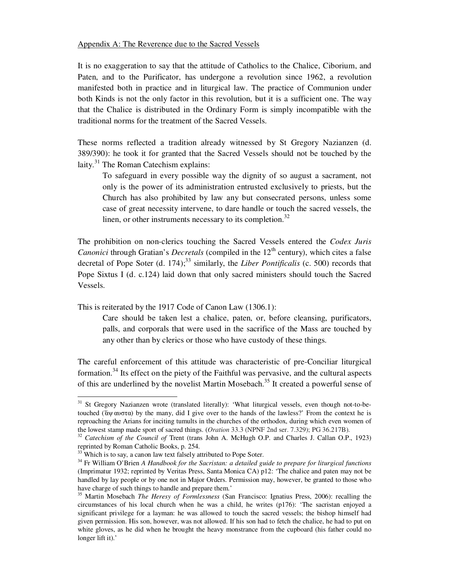#### Appendix A: The Reverence due to the Sacred Vessels

It is no exaggeration to say that the attitude of Catholics to the Chalice, Ciborium, and Paten, and to the Purificator, has undergone a revolution since 1962, a revolution manifested both in practice and in liturgical law. The practice of Communion under both Kinds is not the only factor in this revolution, but it is a sufficient one. The way that the Chalice is distributed in the Ordinary Form is simply incompatible with the traditional norms for the treatment of the Sacred Vessels.

These norms reflected a tradition already witnessed by St Gregory Nazianzen (d. 389/390): he took it for granted that the Sacred Vessels should not be touched by the laity. $31$  The Roman Catechism explains:

To safeguard in every possible way the dignity of so august a sacrament, not only is the power of its administration entrusted exclusively to priests, but the Church has also prohibited by law any but consecrated persons, unless some case of great necessity intervene, to dare handle or touch the sacred vessels, the linen, or other instruments necessary to its completion.<sup>32</sup>

The prohibition on non-clerics touching the Sacred Vessels entered the *Codex Juris Canonici* through Gratian's *Decretals* (compiled in the 12<sup>th</sup> century), which cites a false decretal of Pope Soter (d. 174);<sup>33</sup> similarly, the *Liber Pontificalis* (c. 500) records that Pope Sixtus I (d. c.124) laid down that only sacred ministers should touch the Sacred Vessels.

This is reiterated by the 1917 Code of Canon Law (1306.1):

Care should be taken lest a chalice, paten, or, before cleansing, purificators, palls, and corporals that were used in the sacrifice of the Mass are touched by any other than by clerics or those who have custody of these things.

The careful enforcement of this attitude was characteristic of pre-Conciliar liturgical formation.<sup>34</sup> Its effect on the piety of the Faithful was pervasive, and the cultural aspects of this are underlined by the novelist Martin Mosebach.<sup>35</sup> It created a powerful sense of

<sup>&</sup>lt;sup>31</sup> St Gregory Nazianzen wrote (translated literally): 'What liturgical vessels, even though not-to-betouched ("άψ αυστα) by the many, did I give over to the hands of the lawless?' From the context he is reproaching the Arians for inciting tumults in the churches of the orthodox, during which even women of the lowest stamp made sport of sacred things. (*Oration* 33.3 (NPNF 2nd ser. 7.329); PG 36.217B).

<sup>&</sup>lt;sup>32</sup> *Catechism of the Council of Trent (trans John A. McHugh O.P. and Charles J. Callan O.P., 1923)* reprinted by Roman Catholic Books, p. 254.

<sup>&</sup>lt;sup>33</sup> Which is to say, a canon law text falsely attributed to Pope Soter.

<sup>34</sup> Fr William O'Brien *A Handbook for the Sacristan: a detailed guide to prepare for liturgical functions*  (Imprimatur 1932; reprinted by Veritas Press, Santa Monica CA) p12: 'The chalice and paten may not be handled by lay people or by one not in Major Orders. Permission may, however, be granted to those who have charge of such things to handle and prepare them.'

<sup>35</sup> Martin Mosebach *The Heresy of Formlessness* (San Francisco: Ignatius Press, 2006): recalling the circumstances of his local church when he was a child, he writes (p176): 'The sacristan enjoyed a significant privilege for a layman: he was allowed to touch the sacred vessels; the bishop himself had given permission. His son, however, was not allowed. If his son had to fetch the chalice, he had to put on white gloves, as he did when he brought the heavy monstrance from the cupboard (his father could no longer lift it).'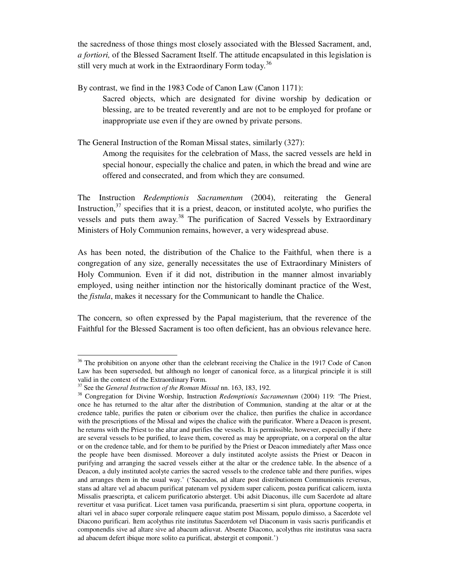the sacredness of those things most closely associated with the Blessed Sacrament, and, *a fortiori,* of the Blessed Sacrament Itself. The attitude encapsulated in this legislation is still very much at work in the Extraordinary Form today.<sup>36</sup>

By contrast, we find in the 1983 Code of Canon Law (Canon 1171): Sacred objects, which are designated for divine worship by dedication or blessing, are to be treated reverently and are not to be employed for profane or inappropriate use even if they are owned by private persons.

The General Instruction of the Roman Missal states, similarly (327):

Among the requisites for the celebration of Mass, the sacred vessels are held in special honour, especially the chalice and paten, in which the bread and wine are offered and consecrated, and from which they are consumed.

The Instruction *Redemptionis Sacramentum* (2004), reiterating the General Instruction,  $37$  specifies that it is a priest, deacon, or instituted acolyte, who purifies the vessels and puts them away.<sup>38</sup> The purification of Sacred Vessels by Extraordinary Ministers of Holy Communion remains, however, a very widespread abuse.

As has been noted, the distribution of the Chalice to the Faithful, when there is a congregation of any size, generally necessitates the use of Extraordinary Ministers of Holy Communion. Even if it did not, distribution in the manner almost invariably employed, using neither intinction nor the historically dominant practice of the West, the *fistula*, makes it necessary for the Communicant to handle the Chalice.

The concern, so often expressed by the Papal magisterium, that the reverence of the Faithful for the Blessed Sacrament is too often deficient, has an obvious relevance here.

<sup>&</sup>lt;sup>36</sup> The prohibition on anyone other than the celebrant receiving the Chalice in the 1917 Code of Canon Law has been superseded, but although no longer of canonical force, as a liturgical principle it is still valid in the context of the Extraordinary Form.

<sup>37</sup> See the *General Instruction of the Roman Missal* nn. 163, 183, 192.

<sup>38</sup> Congregation for Divine Worship, Instruction *Redemptionis Sacramentum* (2004) 119: 'The Priest, once he has returned to the altar after the distribution of Communion, standing at the altar or at the credence table, purifies the paten or ciborium over the chalice, then purifies the chalice in accordance with the prescriptions of the Missal and wipes the chalice with the purificator. Where a Deacon is present, he returns with the Priest to the altar and purifies the vessels. It is permissible, however, especially if there are several vessels to be purified, to leave them, covered as may be appropriate, on a corporal on the altar or on the credence table, and for them to be purified by the Priest or Deacon immediately after Mass once the people have been dismissed. Moreover a duly instituted acolyte assists the Priest or Deacon in purifying and arranging the sacred vessels either at the altar or the credence table. In the absence of a Deacon, a duly instituted acolyte carries the sacred vessels to the credence table and there purifies, wipes and arranges them in the usual way.' ('Sacerdos, ad altare post distributionem Communionis reversus, stans ad altare vel ad abacum purificat patenam vel pyxidem super calicem, postea purificat calicem, iuxta Missalis praescripta, et calicem purificatorio absterget. Ubi adsit Diaconus, ille cum Sacerdote ad altare revertitur et vasa purificat. Licet tamen vasa purificanda, praesertim si sint plura, opportune cooperta, in altari vel in abaco super corporale relinquere eaque statim post Missam, populo dimisso, a Sacerdote vel Diacono purificari. Item acolythus rite institutus Sacerdotem vel Diaconum in vasis sacris purificandis et componendis sive ad altare sive ad abacum adiuvat. Absente Diacono, acolythus rite institutus vasa sacra ad abacum defert ibique more solito ea purificat, abstergit et componit.')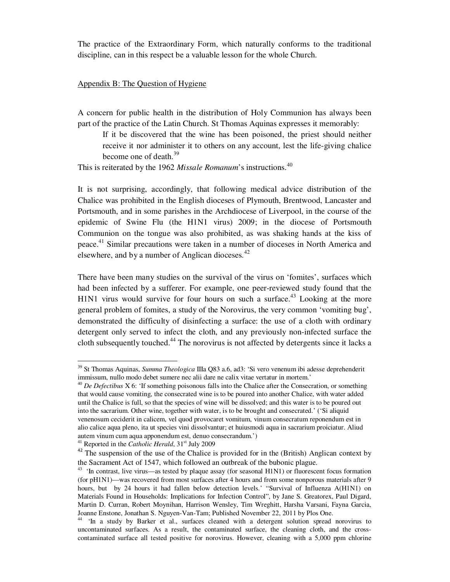The practice of the Extraordinary Form, which naturally conforms to the traditional discipline, can in this respect be a valuable lesson for the whole Church.

#### Appendix B: The Question of Hygiene

A concern for public health in the distribution of Holy Communion has always been part of the practice of the Latin Church. St Thomas Aquinas expresses it memorably:

If it be discovered that the wine has been poisoned, the priest should neither receive it nor administer it to others on any account, lest the life-giving chalice become one of death. $39$ 

This is reiterated by the 1962 *Missale Romanum*'s instructions.<sup>40</sup>

It is not surprising, accordingly, that following medical advice distribution of the Chalice was prohibited in the English dioceses of Plymouth, Brentwood, Lancaster and Portsmouth, and in some parishes in the Archdiocese of Liverpool, in the course of the epidemic of Swine Flu (the H1N1 virus) 2009; in the diocese of Portsmouth Communion on the tongue was also prohibited, as was shaking hands at the kiss of peace.<sup>41</sup> Similar precautions were taken in a number of dioceses in North America and elsewhere, and by a number of Anglican dioceses. $42$ 

There have been many studies on the survival of the virus on 'fomites', surfaces which had been infected by a sufferer. For example, one peer-reviewed study found that the H1N1 virus would survive for four hours on such a surface.<sup>43</sup> Looking at the more general problem of fomites, a study of the Norovirus, the very common 'vomiting bug', demonstrated the difficulty of disinfecting a surface: the use of a cloth with ordinary detergent only served to infect the cloth, and any previously non-infected surface the cloth subsequently touched.<sup>44</sup> The norovirus is not affected by detergents since it lacks a

<sup>39</sup> St Thomas Aquinas, *Summa Theologica* IIIa Q83 a.6, ad3: 'Si vero venenum ibi adesse deprehenderit immissum, nullo modo debet sumere nec alii dare ne calix vitae vertatur in mortem.'

<sup>&</sup>lt;sup>40</sup> *De Defectibus* X 6: 'If something poisonous falls into the Chalice after the Consecration, or something that would cause vomiting, the consecrated wine is to be poured into another Chalice, with water added until the Chalice is full, so that the species of wine will be dissolved; and this water is to be poured out into the sacrarium. Other wine, together with water, is to be brought and consecrated.' ('Si aliquid venenosum ceciderit in calicem, vel quod provocaret vomitum, vinum consecratum reponendum est in alio calice aqua pleno, ita ut species vini dissolvantur; et huiusmodi aqua in sacrarium proiciatur. Aliud autem vinum cum aqua apponendum est, denuo consecrandum.')

<sup>&</sup>lt;sup>41</sup> Reported in the *Catholic Herald*, 31<sup>st</sup> July 2009

 $42$  The suspension of the use of the Chalice is provided for in the (British) Anglican context by the Sacrament Act of 1547, which followed an outbreak of the bubonic plague.

<sup>&</sup>lt;sup>43</sup> 'In contrast, live virus—as tested by plaque assay (for seasonal H1N1) or fluorescent focus formation (for pH1N1)—was recovered from most surfaces after 4 hours and from some nonporous materials after 9 hours, but by 24 hours it had fallen below detection levels.' "Survival of Influenza A(H1N1) on Materials Found in Households: Implications for Infection Control", by Jane S. Greatorex, Paul Digard, Martin D. Curran, Robert Moynihan, Harrison Wensley, Tim Wreghitt, Harsha Varsani, Fayna Garcia, Joanne Enstone, Jonathan S. Nguyen-Van-Tam; Published November 22, 2011 by Plos One.

<sup>&</sup>lt;sup>44</sup> 'In a study by Barker et al., surfaces cleaned with a detergent solution spread norovirus to uncontaminated surfaces. As a result, the contaminated surface, the cleaning cloth, and the crosscontaminated surface all tested positive for norovirus. However, cleaning with a 5,000 ppm chlorine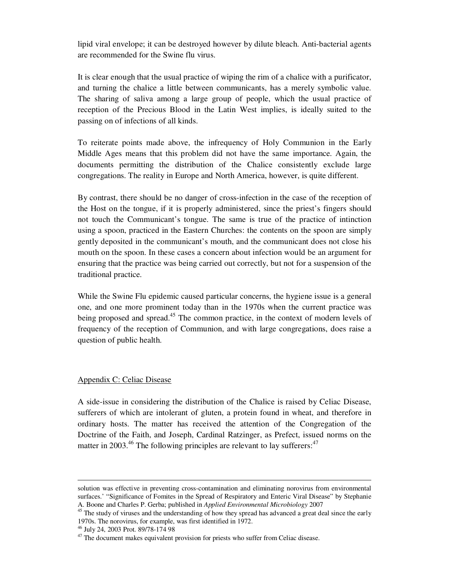lipid viral envelope; it can be destroyed however by dilute bleach. Anti-bacterial agents are recommended for the Swine flu virus.

It is clear enough that the usual practice of wiping the rim of a chalice with a purificator, and turning the chalice a little between communicants, has a merely symbolic value. The sharing of saliva among a large group of people, which the usual practice of reception of the Precious Blood in the Latin West implies, is ideally suited to the passing on of infections of all kinds.

To reiterate points made above, the infrequency of Holy Communion in the Early Middle Ages means that this problem did not have the same importance. Again, the documents permitting the distribution of the Chalice consistently exclude large congregations. The reality in Europe and North America, however, is quite different.

By contrast, there should be no danger of cross-infection in the case of the reception of the Host on the tongue, if it is properly administered, since the priest's fingers should not touch the Communicant's tongue. The same is true of the practice of intinction using a spoon, practiced in the Eastern Churches: the contents on the spoon are simply gently deposited in the communicant's mouth, and the communicant does not close his mouth on the spoon. In these cases a concern about infection would be an argument for ensuring that the practice was being carried out correctly, but not for a suspension of the traditional practice.

While the Swine Flu epidemic caused particular concerns, the hygiene issue is a general one, and one more prominent today than in the 1970s when the current practice was being proposed and spread.<sup>45</sup> The common practice, in the context of modern levels of frequency of the reception of Communion, and with large congregations, does raise a question of public health.

#### Appendix C: Celiac Disease

A side-issue in considering the distribution of the Chalice is raised by Celiac Disease, sufferers of which are intolerant of gluten, a protein found in wheat, and therefore in ordinary hosts. The matter has received the attention of the Congregation of the Doctrine of the Faith, and Joseph, Cardinal Ratzinger, as Prefect, issued norms on the matter in 2003.<sup>46</sup> The following principles are relevant to lay sufferers:<sup>47</sup>

solution was effective in preventing cross-contamination and eliminating norovirus from environmental surfaces.' "Significance of Fomites in the Spread of Respiratory and Enteric Viral Disease" by Stephanie A. Boone and Charles P. Gerba; published in *Applied Environmental Microbiology* 2007

<sup>&</sup>lt;sup>45</sup> The study of viruses and the understanding of how they spread has advanced a great deal since the early 1970s. The norovirus, for example, was first identified in 1972.

<sup>46</sup> July 24, 2003 Prot. 89/78-174 98

 $47$  The document makes equivalent provision for priests who suffer from Celiac disease.